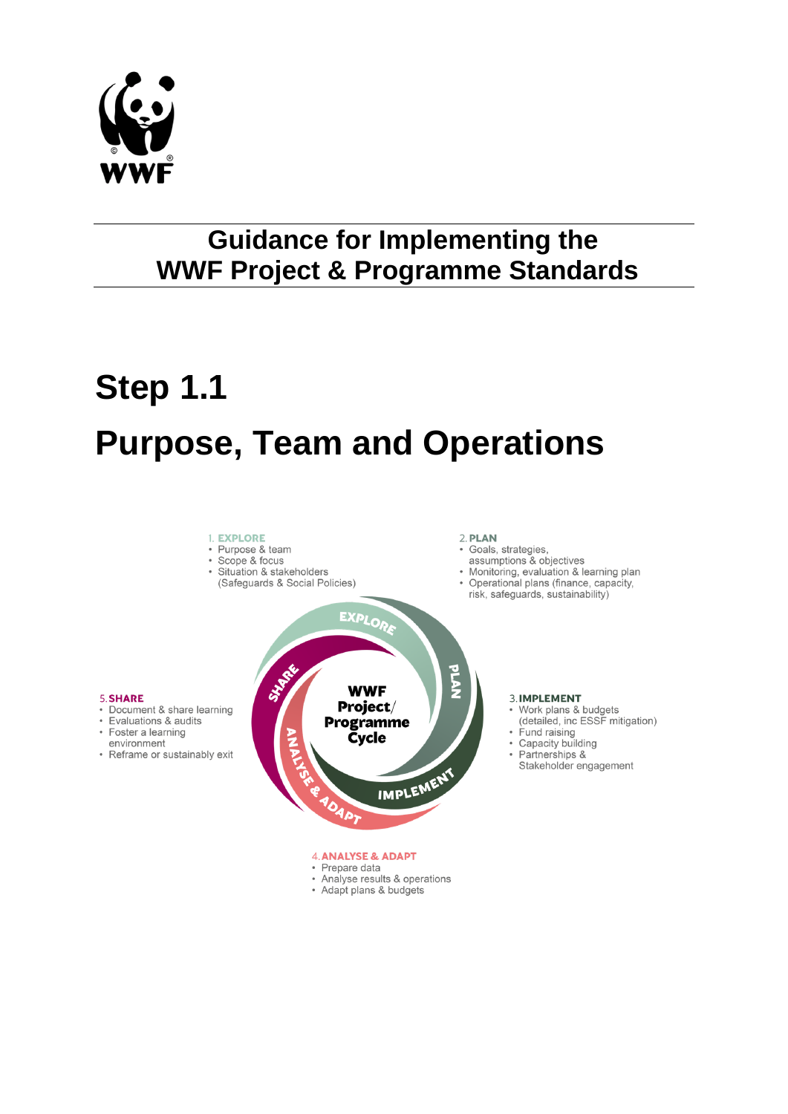

# **Guidance for Implementing the WWF Project & Programme Standards**

# **Step 1.1 Purpose, Team and Operations**

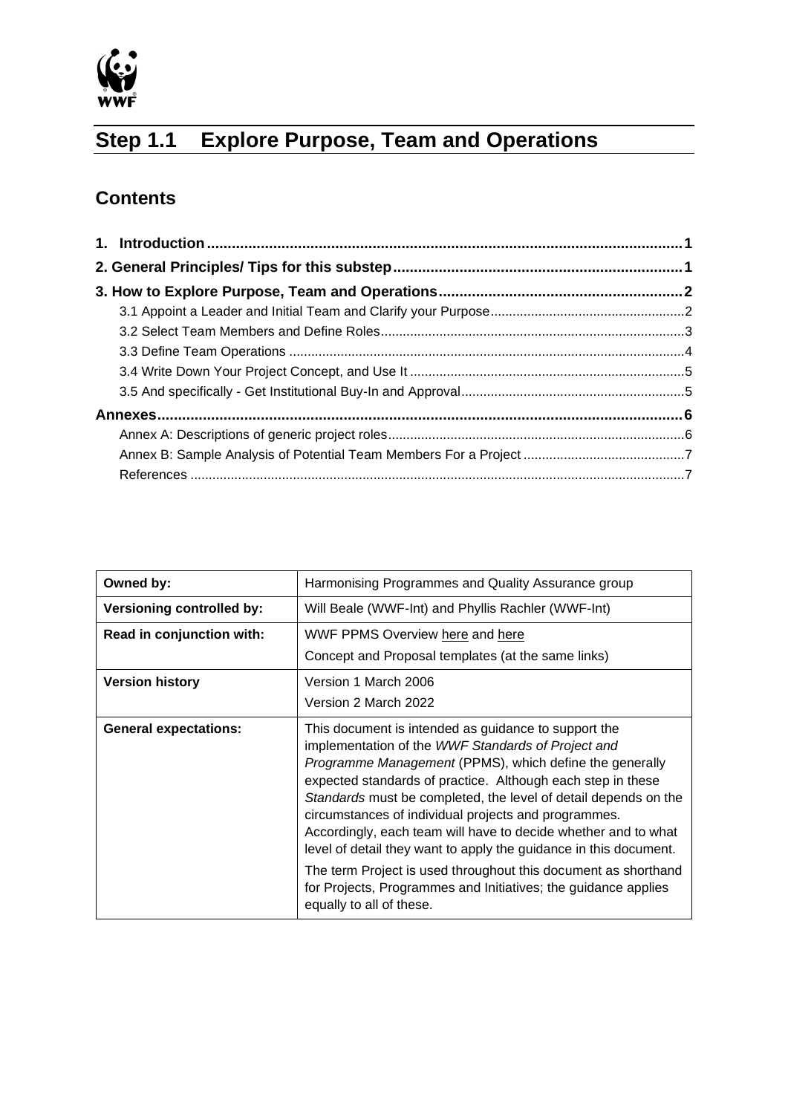

## **Step 1.1 Explore Purpose, Team and Operations**

## **Contents**

| Owned by:                        | Harmonising Programmes and Quality Assurance group                                                                                                                                                                                                                                                                                                                                                                                                                                                                                                                                                                                                                            |  |  |
|----------------------------------|-------------------------------------------------------------------------------------------------------------------------------------------------------------------------------------------------------------------------------------------------------------------------------------------------------------------------------------------------------------------------------------------------------------------------------------------------------------------------------------------------------------------------------------------------------------------------------------------------------------------------------------------------------------------------------|--|--|
| <b>Versioning controlled by:</b> | Will Beale (WWF-Int) and Phyllis Rachler (WWF-Int)                                                                                                                                                                                                                                                                                                                                                                                                                                                                                                                                                                                                                            |  |  |
| Read in conjunction with:        | WWF PPMS Overview here and here                                                                                                                                                                                                                                                                                                                                                                                                                                                                                                                                                                                                                                               |  |  |
|                                  | Concept and Proposal templates (at the same links)                                                                                                                                                                                                                                                                                                                                                                                                                                                                                                                                                                                                                            |  |  |
| <b>Version history</b>           | Version 1 March 2006                                                                                                                                                                                                                                                                                                                                                                                                                                                                                                                                                                                                                                                          |  |  |
|                                  | Version 2 March 2022                                                                                                                                                                                                                                                                                                                                                                                                                                                                                                                                                                                                                                                          |  |  |
| <b>General expectations:</b>     | This document is intended as guidance to support the<br>implementation of the WWF Standards of Project and<br><i>Programme Management</i> (PPMS), which define the generally<br>expected standards of practice. Although each step in these<br>Standards must be completed, the level of detail depends on the<br>circumstances of individual projects and programmes.<br>Accordingly, each team will have to decide whether and to what<br>level of detail they want to apply the guidance in this document.<br>The term Project is used throughout this document as shorthand<br>for Projects, Programmes and Initiatives; the guidance applies<br>equally to all of these. |  |  |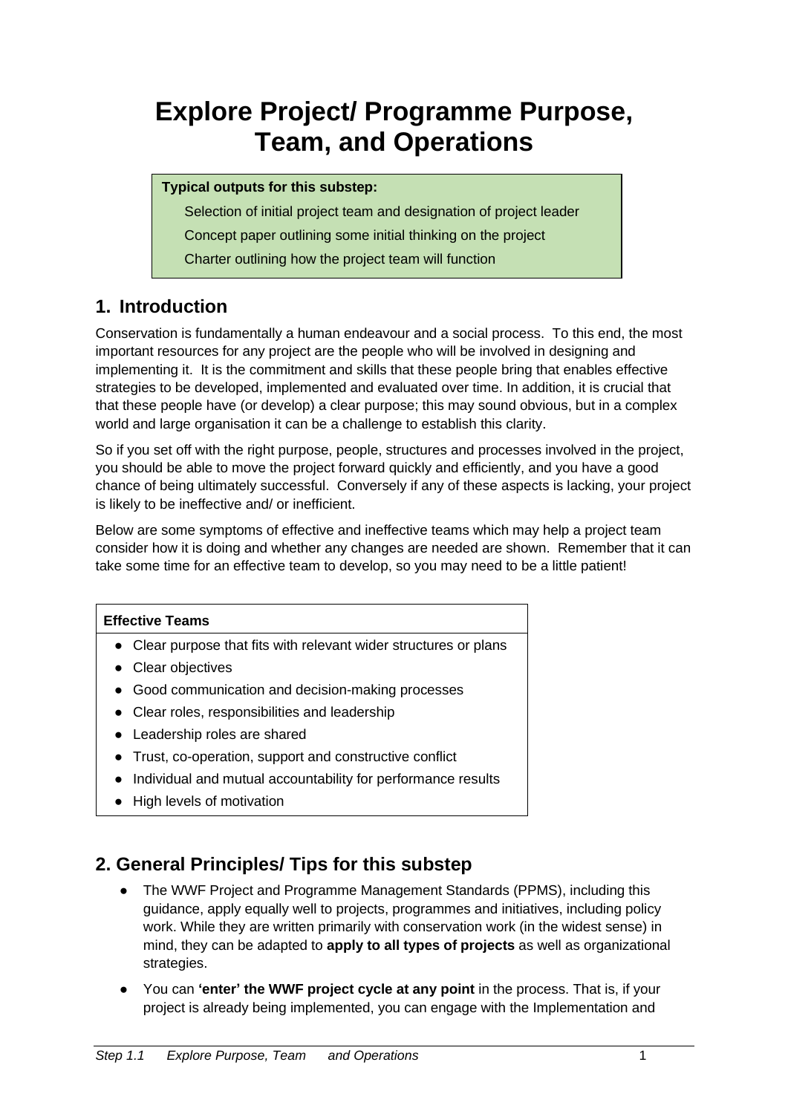# **Explore Project/ Programme Purpose, Team, and Operations**

#### **Typical outputs for this substep:**

Selection of initial project team and designation of project leader Concept paper outlining some initial thinking on the project

Charter outlining how the project team will function

#### <span id="page-2-0"></span>**1. Introduction**

Conservation is fundamentally a human endeavour and a social process. To this end, the most important resources for any project are the people who will be involved in designing and implementing it. It is the commitment and skills that these people bring that enables effective strategies to be developed, implemented and evaluated over time. In addition, it is crucial that that these people have (or develop) a clear purpose; this may sound obvious, but in a complex world and large organisation it can be a challenge to establish this clarity.

So if you set off with the right purpose, people, structures and processes involved in the project, you should be able to move the project forward quickly and efficiently, and you have a good chance of being ultimately successful. Conversely if any of these aspects is lacking, your project is likely to be ineffective and/ or inefficient.

Below are some symptoms of effective and ineffective teams which may help a project team consider how it is doing and whether any changes are needed are shown. Remember that it can take some time for an effective team to develop, so you may need to be a little patient!

#### **Effective Teams**

- Clear purpose that fits with relevant wider structures or plans
- Clear objectives
- Good communication and decision-making processes
- Clear roles, responsibilities and leadership
- Leadership roles are shared
- Trust, co-operation, support and constructive conflict
- Individual and mutual accountability for performance results
- High levels of motivation

#### <span id="page-2-1"></span>**2. General Principles/ Tips for this substep**

- The WWF Project and Programme Management Standards (PPMS), including this guidance, apply equally well to projects, programmes and initiatives, including policy work. While they are written primarily with conservation work (in the widest sense) in mind, they can be adapted to **apply to all types of projects** as well as organizational strategies.
- You can **'enter' the WWF project cycle at any point** in the process. That is, if your project is already being implemented, you can engage with the Implementation and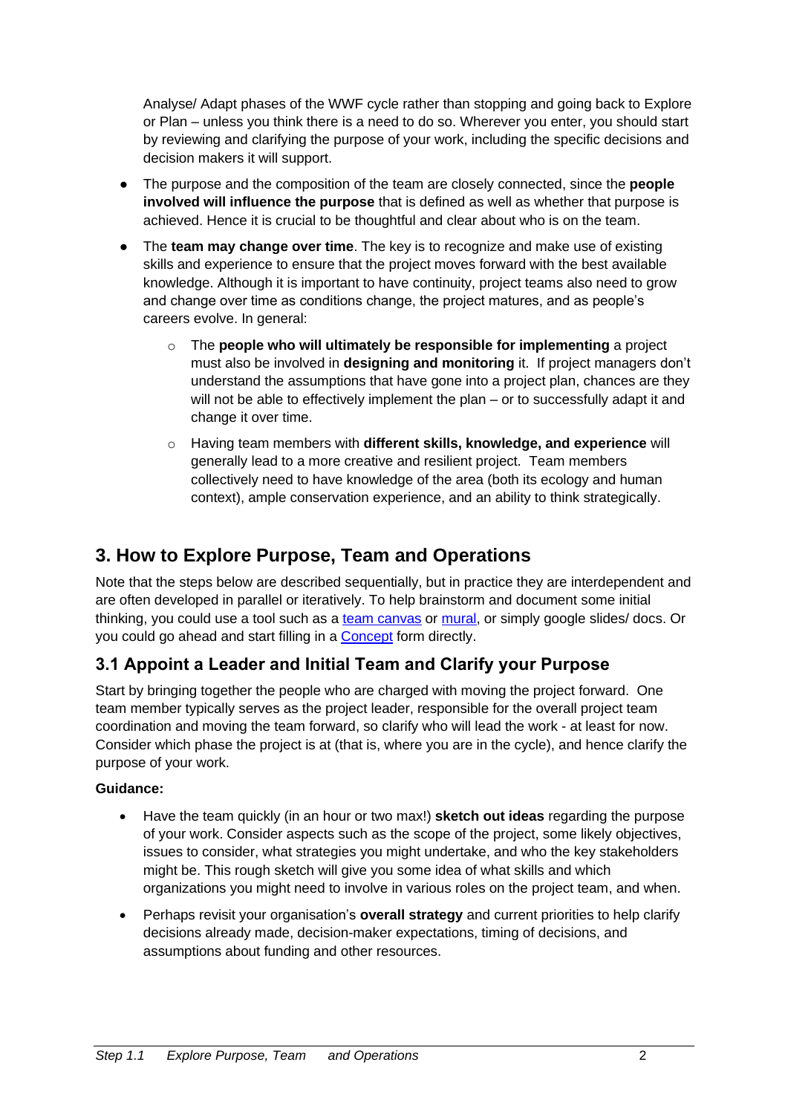Analyse/ Adapt phases of the WWF cycle rather than stopping and going back to Explore or Plan – unless you think there is a need to do so. Wherever you enter, you should start by reviewing and clarifying the purpose of your work, including the specific decisions and decision makers it will support.

- The purpose and the composition of the team are closely connected, since the **people involved will influence the purpose** that is defined as well as whether that purpose is achieved. Hence it is crucial to be thoughtful and clear about who is on the team.
- **•** The **team may change over time**. The key is to recognize and make use of existing skills and experience to ensure that the project moves forward with the best available knowledge. Although it is important to have continuity, project teams also need to grow and change over time as conditions change, the project matures, and as people's careers evolve. In general:
	- o The **people who will ultimately be responsible for implementing** a project must also be involved in **designing and monitoring** it. If project managers don't understand the assumptions that have gone into a project plan, chances are they will not be able to effectively implement the plan – or to successfully adapt it and change it over time.
	- o Having team members with **different skills, knowledge, and experience** will generally lead to a more creative and resilient project. Team members collectively need to have knowledge of the area (both its ecology and human context), ample conservation experience, and an ability to think strategically.

#### <span id="page-3-0"></span>**3. How to Explore Purpose, Team and Operations**

Note that the steps below are described sequentially, but in practice they are interdependent and are often developed in parallel or iteratively. To help brainstorm and document some initial thinking, you could use a tool such as a [team canvas](http://theteamcanvas.com/) or [mural,](https://www.mural.co/) or simply google slides/ docs. Or you could go ahead and start filling in a [Concept](http://www.panda.org/standards) form directly.

#### <span id="page-3-1"></span>**3.1 Appoint a Leader and Initial Team and Clarify your Purpose**

Start by bringing together the people who are charged with moving the project forward. One team member typically serves as the project leader, responsible for the overall project team coordination and moving the team forward, so clarify who will lead the work - at least for now. Consider which phase the project is at (that is, where you are in the cycle), and hence clarify the purpose of your work.

#### **Guidance:**

- Have the team quickly (in an hour or two max!) **sketch out ideas** regarding the purpose of your work. Consider aspects such as the scope of the project, some likely objectives, issues to consider, what strategies you might undertake, and who the key stakeholders might be. This rough sketch will give you some idea of what skills and which organizations you might need to involve in various roles on the project team, and when.
- Perhaps revisit your organisation's **overall strategy** and current priorities to help clarify decisions already made, decision-maker expectations, timing of decisions, and assumptions about funding and other resources.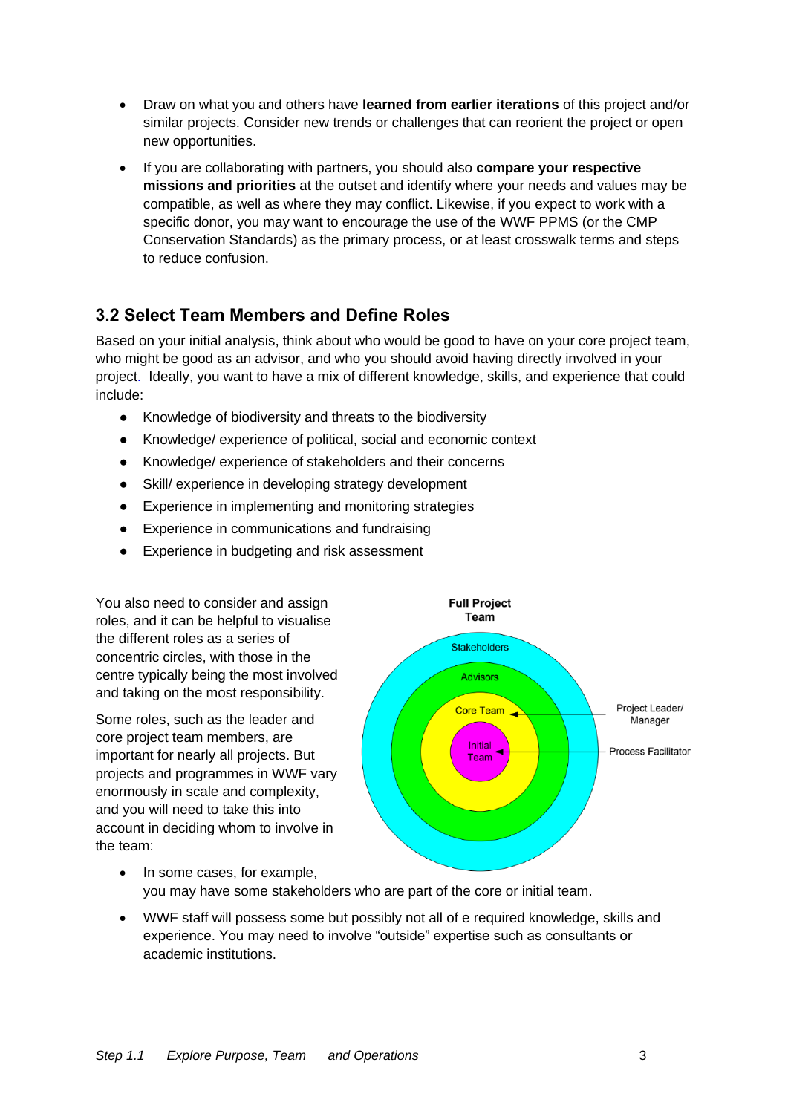- Draw on what you and others have **learned from earlier iterations** of this project and/or similar projects. Consider new trends or challenges that can reorient the project or open new opportunities.
- If you are collaborating with partners, you should also **compare your respective missions and priorities** at the outset and identify where your needs and values may be compatible, as well as where they may conflict. Likewise, if you expect to work with a specific donor, you may want to encourage the use of the WWF PPMS (or the CMP Conservation Standards) as the primary process, or at least crosswalk terms and steps to reduce confusion.

#### <span id="page-4-0"></span>**3.2 Select Team Members and Define Roles**

Based on your initial analysis, think about who would be good to have on your core project team, who might be good as an advisor, and who you should avoid having directly involved in your project. Ideally, you want to have a mix of different knowledge, skills, and experience that could include:

- Knowledge of biodiversity and threats to the biodiversity
- Knowledge/ experience of political, social and economic context
- Knowledge/ experience of stakeholders and their concerns
- Skill/ experience in developing strategy development
- Experience in implementing and monitoring strategies
- Experience in communications and fundraising
- Experience in budgeting and risk assessment

You also need to consider and assign roles, and it can be helpful to visualise the different roles as a series of concentric circles, with those in the centre typically being the most involved and taking on the most responsibility.

Some roles, such as the leader and core project team members, are important for nearly all projects. But projects and programmes in WWF vary enormously in scale and complexity, and you will need to take this into account in deciding whom to involve in the team:



- In some cases, for example, you may have some stakeholders who are part of the core or initial team.
- WWF staff will possess some but possibly not all of e required knowledge, skills and experience. You may need to involve "outside" expertise such as consultants or academic institutions.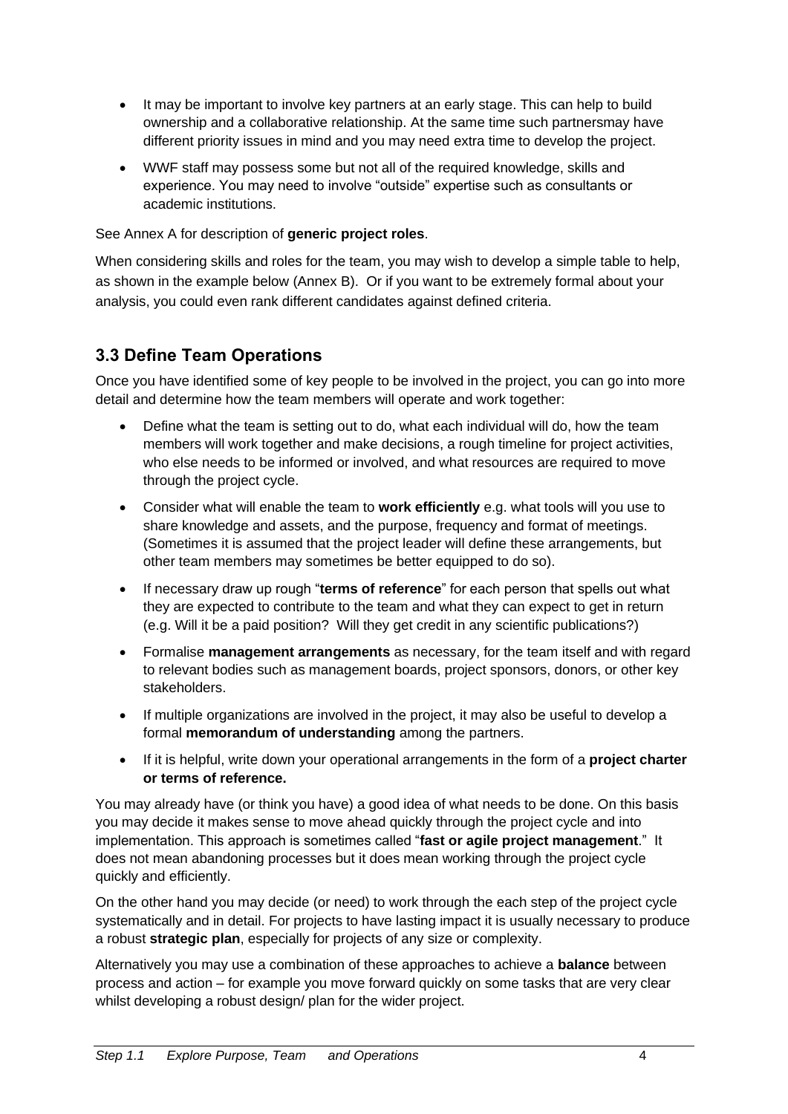- It may be important to involve key partners at an early stage. This can help to build ownership and a collaborative relationship. At the same time such partnersmay have different priority issues in mind and you may need extra time to develop the project.
- WWF staff may possess some but not all of the required knowledge, skills and experience. You may need to involve "outside" expertise such as consultants or academic institutions.

See Annex A for description of **generic project roles**.

When considering skills and roles for the team, you may wish to develop a simple table to help, as shown in the example below (Annex B). Or if you want to be extremely formal about your analysis, you could even rank different candidates against defined criteria.

#### <span id="page-5-0"></span>**3.3 Define Team Operations**

Once you have identified some of key people to be involved in the project, you can go into more detail and determine how the team members will operate and work together:

- Define what the team is setting out to do, what each individual will do, how the team members will work together and make decisions, a rough timeline for project activities, who else needs to be informed or involved, and what resources are required to move through the project cycle.
- Consider what will enable the team to **work efficiently** e.g. what tools will you use to share knowledge and assets, and the purpose, frequency and format of meetings. (Sometimes it is assumed that the project leader will define these arrangements, but other team members may sometimes be better equipped to do so).
- If necessary draw up rough "**terms of reference**" for each person that spells out what they are expected to contribute to the team and what they can expect to get in return (e.g. Will it be a paid position? Will they get credit in any scientific publications?)
- Formalise **management arrangements** as necessary, for the team itself and with regard to relevant bodies such as management boards, project sponsors, donors, or other key stakeholders.
- If multiple organizations are involved in the project, it may also be useful to develop a formal **memorandum of understanding** among the partners.
- If it is helpful, write down your operational arrangements in the form of a **project charter or terms of reference.**

You may already have (or think you have) a good idea of what needs to be done. On this basis you may decide it makes sense to move ahead quickly through the project cycle and into implementation. This approach is sometimes called "**fast or agile project management**." It does not mean abandoning processes but it does mean working through the project cycle quickly and efficiently.

On the other hand you may decide (or need) to work through the each step of the project cycle systematically and in detail. For projects to have lasting impact it is usually necessary to produce a robust **strategic plan**, especially for projects of any size or complexity.

Alternatively you may use a combination of these approaches to achieve a **balance** between process and action – for example you move forward quickly on some tasks that are very clear whilst developing a robust design/ plan for the wider project.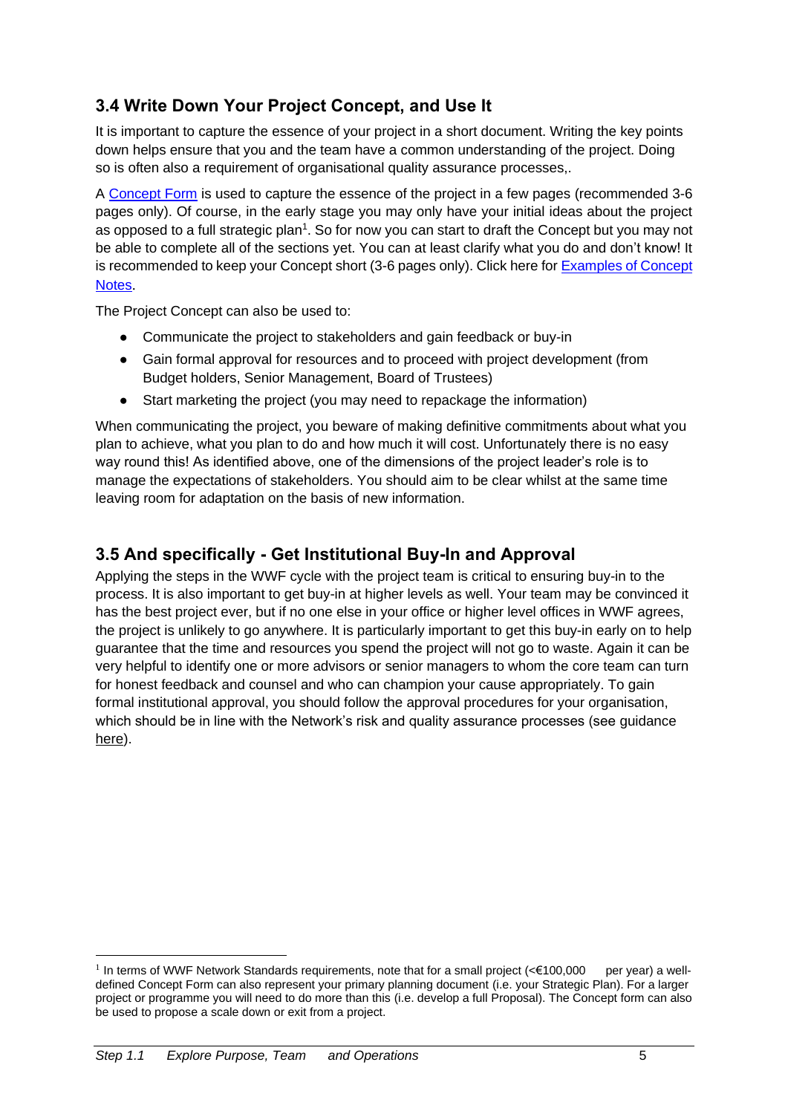#### <span id="page-6-0"></span>**3.4 Write Down Your Project Concept, and Use It**

It is important to capture the essence of your project in a short document. Writing the key points down helps ensure that you and the team have a common understanding of the project. Doing so is often also a requirement of organisational quality assurance processes,.

A [Concept Form](http://www.panda.org/standards) is used to capture the essence of the project in a few pages (recommended 3-6 pages only). Of course, in the early stage you may only have your initial ideas about the project as opposed to a full strategic plan<sup>1</sup>. So for now you can start to draft the Concept but you may not be able to complete all of the sections yet. You can at least clarify what you do and don't know! It is recommended to keep your Concept short (3-6 pages only). Click here for Examples of Concept [Notes](https://sites.google.com/wwf.panda.org/networkstandards/policy-areas/project-and-initiative-management/2-2-templates-concept-proposal-tpr).

The Project Concept can also be used to:

- Communicate the project to stakeholders and gain feedback or buy-in
- Gain formal approval for resources and to proceed with project development (from Budget holders, Senior Management, Board of Trustees)
- Start marketing the project (you may need to repackage the information)

When communicating the project, you beware of making definitive commitments about what you plan to achieve, what you plan to do and how much it will cost. Unfortunately there is no easy way round this! As identified above, one of the dimensions of the project leader's role is to manage the expectations of stakeholders. You should aim to be clear whilst at the same time leaving room for adaptation on the basis of new information.

#### <span id="page-6-1"></span>**3.5 And specifically - Get Institutional Buy-In and Approval**

Applying the steps in the WWF cycle with the project team is critical to ensuring buy-in to the process. It is also important to get buy-in at higher levels as well. Your team may be convinced it has the best project ever, but if no one else in your office or higher level offices in WWF agrees, the project is unlikely to go anywhere. It is particularly important to get this buy-in early on to help guarantee that the time and resources you spend the project will not go to waste. Again it can be very helpful to identify one or more advisors or senior managers to whom the core team can turn for honest feedback and counsel and who can champion your cause appropriately. To gain formal institutional approval, you should follow the approval procedures for your organisation, which should be in line with the Network's risk and quality assurance processes (see guidance [here\)](https://sites.google.com/wwf.panda.org/networkstandards/policy-areas/project-and-initiative-management/2-2-templates-concept-proposal-tpr).

<sup>&</sup>lt;sup>1</sup> In terms of WWF Network Standards requirements, note that for a small project (<€100,000 per year) a welldefined Concept Form can also represent your primary planning document (i.e. your Strategic Plan). For a larger project or programme you will need to do more than this (i.e. develop a full Proposal). The Concept form can also be used to propose a scale down or exit from a project.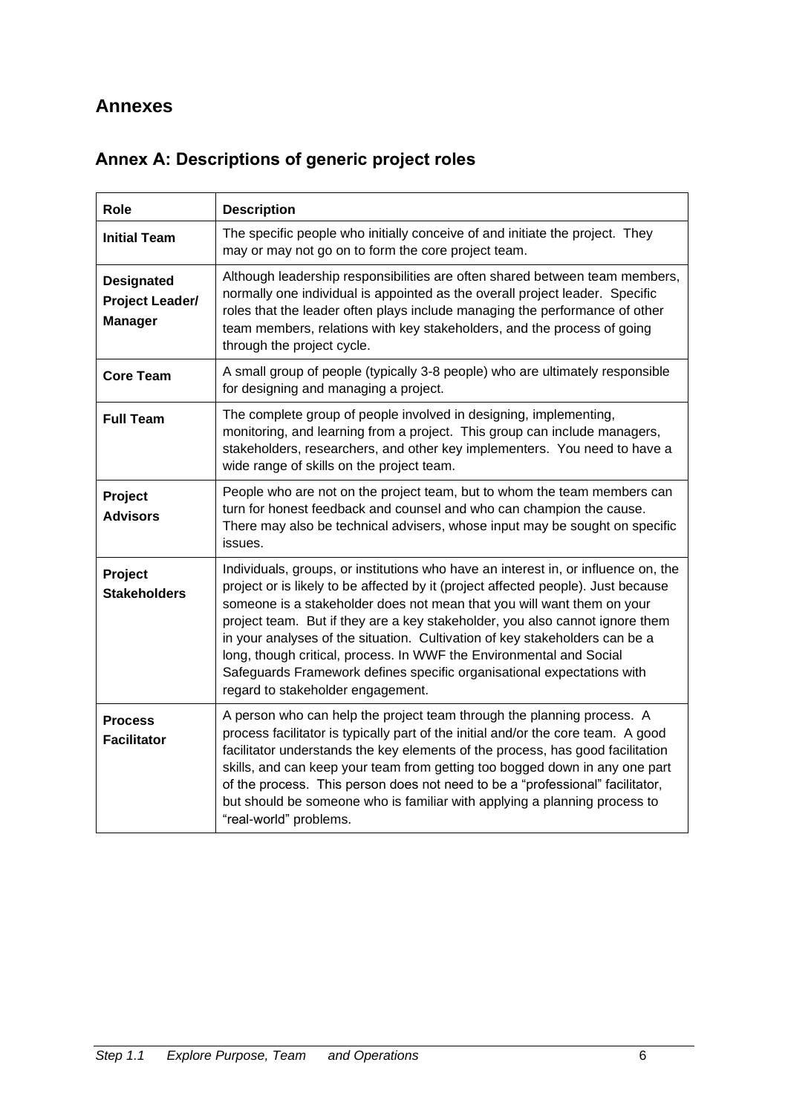#### <span id="page-7-0"></span>**Annexes**

| Role                                                          | <b>Description</b>                                                                                                                                                                                                                                                                                                                                                                                                                                                                                                                                                                                     |  |  |  |  |
|---------------------------------------------------------------|--------------------------------------------------------------------------------------------------------------------------------------------------------------------------------------------------------------------------------------------------------------------------------------------------------------------------------------------------------------------------------------------------------------------------------------------------------------------------------------------------------------------------------------------------------------------------------------------------------|--|--|--|--|
| <b>Initial Team</b>                                           | The specific people who initially conceive of and initiate the project. They<br>may or may not go on to form the core project team.                                                                                                                                                                                                                                                                                                                                                                                                                                                                    |  |  |  |  |
| <b>Designated</b><br><b>Project Leader/</b><br><b>Manager</b> | Although leadership responsibilities are often shared between team members,<br>normally one individual is appointed as the overall project leader. Specific<br>roles that the leader often plays include managing the performance of other<br>team members, relations with key stakeholders, and the process of going<br>through the project cycle.                                                                                                                                                                                                                                                    |  |  |  |  |
| <b>Core Team</b>                                              | A small group of people (typically 3-8 people) who are ultimately responsible<br>for designing and managing a project.                                                                                                                                                                                                                                                                                                                                                                                                                                                                                 |  |  |  |  |
| <b>Full Team</b>                                              | The complete group of people involved in designing, implementing,<br>monitoring, and learning from a project. This group can include managers,<br>stakeholders, researchers, and other key implementers. You need to have a<br>wide range of skills on the project team.                                                                                                                                                                                                                                                                                                                               |  |  |  |  |
| Project<br><b>Advisors</b>                                    | People who are not on the project team, but to whom the team members can<br>turn for honest feedback and counsel and who can champion the cause.<br>There may also be technical advisers, whose input may be sought on specific<br>issues.                                                                                                                                                                                                                                                                                                                                                             |  |  |  |  |
| Project<br><b>Stakeholders</b>                                | Individuals, groups, or institutions who have an interest in, or influence on, the<br>project or is likely to be affected by it (project affected people). Just because<br>someone is a stakeholder does not mean that you will want them on your<br>project team. But if they are a key stakeholder, you also cannot ignore them<br>in your analyses of the situation. Cultivation of key stakeholders can be a<br>long, though critical, process. In WWF the Environmental and Social<br>Safeguards Framework defines specific organisational expectations with<br>regard to stakeholder engagement. |  |  |  |  |
| <b>Process</b><br><b>Facilitator</b>                          | A person who can help the project team through the planning process. A<br>process facilitator is typically part of the initial and/or the core team. A good<br>facilitator understands the key elements of the process, has good facilitation<br>skills, and can keep your team from getting too bogged down in any one part<br>of the process. This person does not need to be a "professional" facilitator,<br>but should be someone who is familiar with applying a planning process to<br>"real-world" problems.                                                                                   |  |  |  |  |

## <span id="page-7-1"></span>**Annex A: Descriptions of generic project roles**